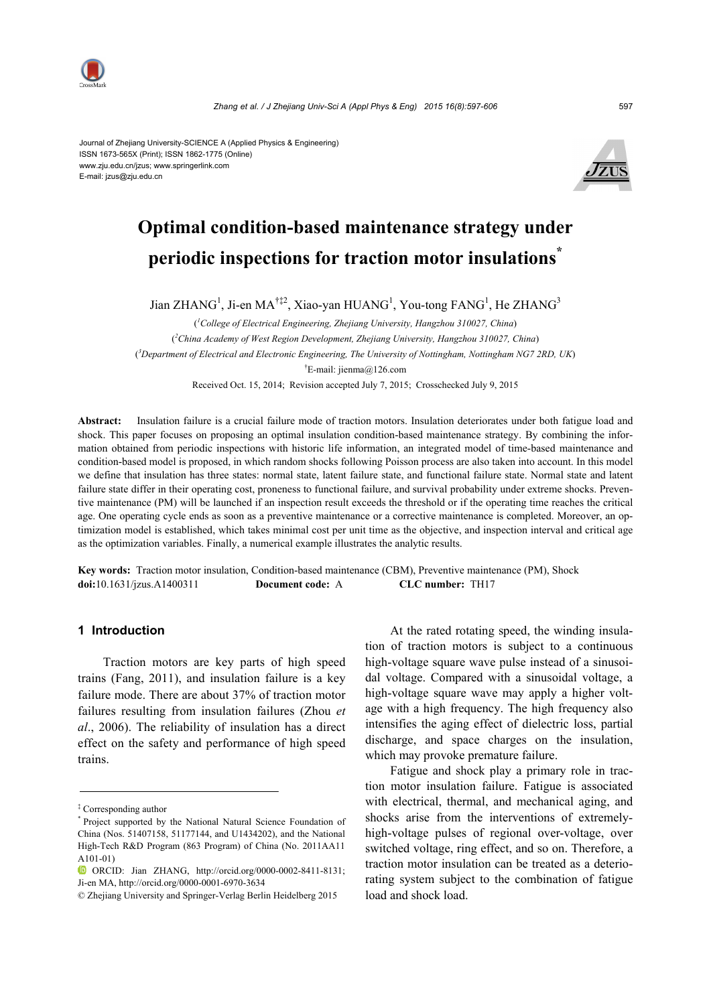

#### Journal of Zhejiang University-SCIENCE A (Applied Physics & Engineering) ISSN 1673-565X (Print); ISSN 1862-1775 (Online) www.zju.edu.cn/jzus; www.springerlink.com E-mail: jzus@zju.edu.cn



# **Optimal condition-based maintenance strategy under periodic inspections for traction motor insulations\***

Jian ZHANG<sup>1</sup>, Ji-en MA<sup>†‡2</sup>, Xiao-yan HUANG<sup>1</sup>, You-tong FANG<sup>1</sup>, He ZHANG<sup>3</sup>

( *1 College of Electrical Engineering, Zhejiang University, Hangzhou 310027, China*) ( *2 China Academy of West Region Development, Zhejiang University, Hangzhou 310027, China*) ( *3 Department of Electrical and Electronic Engineering, The University of Nottingham, Nottingham NG7 2RD, UK*) † E-mail: jienma@126.com

Received Oct. 15, 2014; Revision accepted July 7, 2015; Crosschecked July 9, 2015

**Abstract:** Insulation failure is a crucial failure mode of traction motors. Insulation deteriorates under both fatigue load and shock. This paper focuses on proposing an optimal insulation condition-based maintenance strategy. By combining the information obtained from periodic inspections with historic life information, an integrated model of time-based maintenance and condition-based model is proposed, in which random shocks following Poisson process are also taken into account. In this model we define that insulation has three states: normal state, latent failure state, and functional failure state. Normal state and latent failure state differ in their operating cost, proneness to functional failure, and survival probability under extreme shocks. Preventive maintenance (PM) will be launched if an inspection result exceeds the threshold or if the operating time reaches the critical age. One operating cycle ends as soon as a preventive maintenance or a corrective maintenance is completed. Moreover, an optimization model is established, which takes minimal cost per unit time as the objective, and inspection interval and critical age as the optimization variables. Finally, a numerical example illustrates the analytic results.

**Key words:** Traction motor insulation, Condition-based maintenance (CBM), Preventive maintenance (PM), Shock **doi:**10.1631/jzus.A1400311 **Document code:** A **CLC number:** TH17

#### **1 Introduction**

Traction motors are key parts of high speed trains (Fang, 2011), and insulation failure is a key failure mode. There are about 37% of traction motor failures resulting from insulation failures (Zhou *et al*., 2006). The reliability of insulation has a direct effect on the safety and performance of high speed trains.

At the rated rotating speed, the winding insulation of traction motors is subject to a continuous high-voltage square wave pulse instead of a sinusoidal voltage. Compared with a sinusoidal voltage, a high-voltage square wave may apply a higher voltage with a high frequency. The high frequency also intensifies the aging effect of dielectric loss, partial discharge, and space charges on the insulation, which may provoke premature failure.

Fatigue and shock play a primary role in traction motor insulation failure. Fatigue is associated with electrical, thermal, and mechanical aging, and shocks arise from the interventions of extremelyhigh-voltage pulses of regional over-voltage, over switched voltage, ring effect, and so on. Therefore, a traction motor insulation can be treated as a deteriorating system subject to the combination of fatigue load and shock load.

<sup>‡</sup> Corresponding author

<sup>\*</sup> Project supported by the National Natural Science Foundation of China (Nos. 51407158, 51177144, and U1434202), and the National High-Tech R&D Program (863 Program) of China (No. 2011AA11 A101-01)

ORCID: Jian ZHANG, http://orcid.org/0000-0002-8411-8131; Ji-en MA, http://orcid.org/0000-0001-6970-3634

<sup>©</sup> Zhejiang University and Springer-Verlag Berlin Heidelberg 2015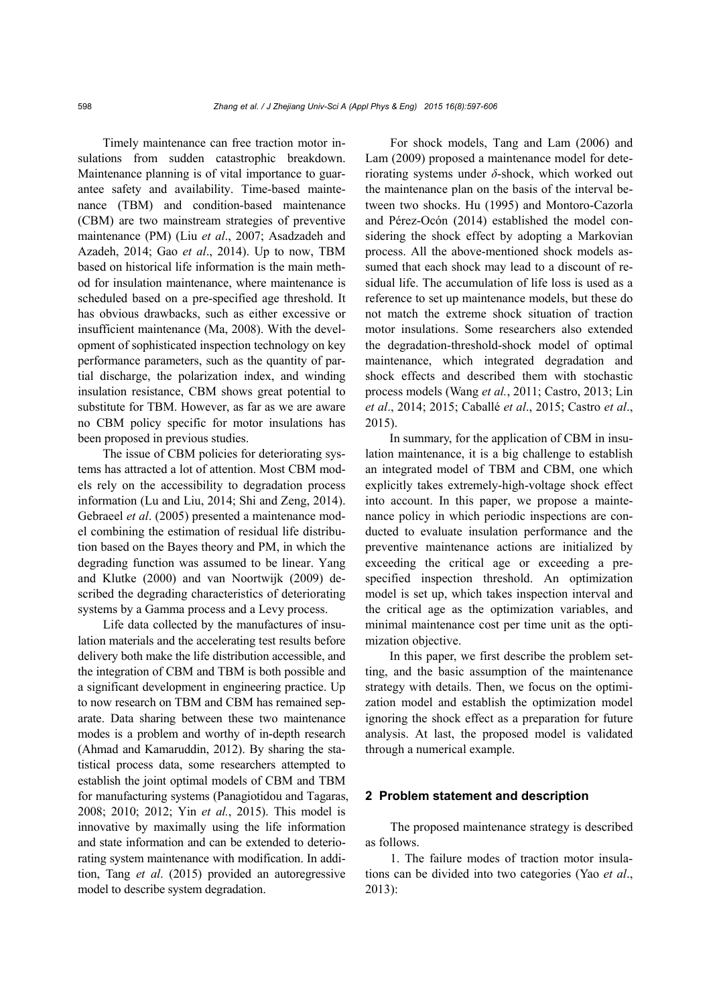Timely maintenance can free traction motor insulations from sudden catastrophic breakdown. Maintenance planning is of vital importance to guarantee safety and availability. Time-based maintenance (TBM) and condition-based maintenance (CBM) are two mainstream strategies of preventive maintenance (PM) (Liu *et al*., 2007; Asadzadeh and Azadeh, 2014; Gao *et al*., 2014). Up to now, TBM based on historical life information is the main method for insulation maintenance, where maintenance is scheduled based on a pre-specified age threshold. It has obvious drawbacks, such as either excessive or insufficient maintenance (Ma, 2008). With the development of sophisticated inspection technology on key performance parameters, such as the quantity of partial discharge, the polarization index, and winding insulation resistance, CBM shows great potential to substitute for TBM. However, as far as we are aware no CBM policy specific for motor insulations has been proposed in previous studies.

The issue of CBM policies for deteriorating systems has attracted a lot of attention. Most CBM models rely on the accessibility to degradation process information (Lu and Liu, 2014; Shi and Zeng, 2014). Gebraeel *et al*. (2005) presented a maintenance model combining the estimation of residual life distribution based on the Bayes theory and PM, in which the degrading function was assumed to be linear. Yang and Klutke (2000) and van Noortwijk (2009) described the degrading characteristics of deteriorating systems by a Gamma process and a Levy process.

Life data collected by the manufactures of insulation materials and the accelerating test results before delivery both make the life distribution accessible, and the integration of CBM and TBM is both possible and a significant development in engineering practice. Up to now research on TBM and CBM has remained separate. Data sharing between these two maintenance modes is a problem and worthy of in-depth research (Ahmad and Kamaruddin, 2012). By sharing the statistical process data, some researchers attempted to establish the joint optimal models of CBM and TBM for manufacturing systems (Panagiotidou and Tagaras, 2008; 2010; 2012; Yin *et al.*, 2015). This model is innovative by maximally using the life information and state information and can be extended to deteriorating system maintenance with modification. In addition, Tang *et al*. (2015) provided an autoregressive model to describe system degradation.

For shock models, Tang and Lam (2006) and Lam (2009) proposed a maintenance model for deteriorating systems under *δ*-shock, which worked out the maintenance plan on the basis of the interval between two shocks. Hu (1995) and Montoro-Cazorla and Pérez-Ocón (2014) established the model considering the shock effect by adopting a Markovian process. All the above-mentioned shock models assumed that each shock may lead to a discount of residual life. The accumulation of life loss is used as a reference to set up maintenance models, but these do not match the extreme shock situation of traction motor insulations. Some researchers also extended the degradation-threshold-shock model of optimal maintenance, which integrated degradation and shock effects and described them with stochastic process models (Wang *et al.*, 2011; Castro, 2013; Lin *et al*., 2014; 2015; Caballé *et al*., 2015; Castro *et al*., 2015).

In summary, for the application of CBM in insulation maintenance, it is a big challenge to establish an integrated model of TBM and CBM, one which explicitly takes extremely-high-voltage shock effect into account. In this paper, we propose a maintenance policy in which periodic inspections are conducted to evaluate insulation performance and the preventive maintenance actions are initialized by exceeding the critical age or exceeding a prespecified inspection threshold. An optimization model is set up, which takes inspection interval and the critical age as the optimization variables, and minimal maintenance cost per time unit as the optimization objective.

In this paper, we first describe the problem setting, and the basic assumption of the maintenance strategy with details. Then, we focus on the optimization model and establish the optimization model ignoring the shock effect as a preparation for future analysis. At last, the proposed model is validated through a numerical example.

#### **2 Problem statement and description**

The proposed maintenance strategy is described as follows.

1. The failure modes of traction motor insulations can be divided into two categories (Yao *et al*., 2013):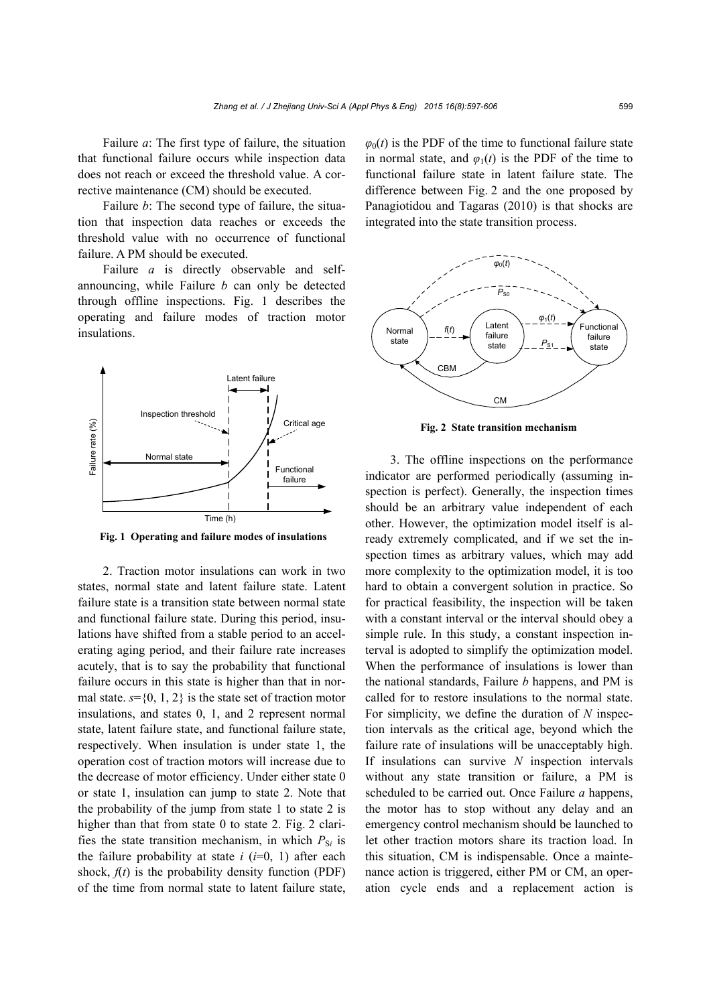Failure *a*: The first type of failure, the situation that functional failure occurs while inspection data does not reach or exceed the threshold value. A corrective maintenance (CM) should be executed.

Failure *b*: The second type of failure, the situation that inspection data reaches or exceeds the threshold value with no occurrence of functional failure. A PM should be executed.

Failure *a* is directly observable and selfannouncing, while Failure *b* can only be detected through offline inspections. Fig. 1 describes the operating and failure modes of traction motor insulations.



**Fig. 1 Operating and failure modes of insulations**

2. Traction motor insulations can work in two states, normal state and latent failure state. Latent failure state is a transition state between normal state and functional failure state. During this period, insulations have shifted from a stable period to an accelerating aging period, and their failure rate increases acutely, that is to say the probability that functional failure occurs in this state is higher than that in normal state.  $s = \{0, 1, 2\}$  is the state set of traction motor insulations, and states 0, 1, and 2 represent normal state, latent failure state, and functional failure state, respectively. When insulation is under state 1, the operation cost of traction motors will increase due to the decrease of motor efficiency. Under either state 0 or state 1, insulation can jump to state 2. Note that the probability of the jump from state 1 to state 2 is higher than that from state 0 to state 2. Fig. 2 clarifies the state transition mechanism, in which  $P_{\text{S}i}$  is the failure probability at state  $i$  ( $i=0, 1$ ) after each shock,  $f(t)$  is the probability density function (PDF) of the time from normal state to latent failure state,  $\varphi_0(t)$  is the PDF of the time to functional failure state in normal state, and  $\varphi_1(t)$  is the PDF of the time to functional failure state in latent failure state. The difference between Fig. 2 and the one proposed by Panagiotidou and Tagaras (2010) is that shocks are integrated into the state transition process.



**Fig. 2 State transition mechanism**

3. The offline inspections on the performance indicator are performed periodically (assuming inspection is perfect). Generally, the inspection times should be an arbitrary value independent of each other. However, the optimization model itself is already extremely complicated, and if we set the inspection times as arbitrary values, which may add more complexity to the optimization model, it is too hard to obtain a convergent solution in practice. So for practical feasibility, the inspection will be taken with a constant interval or the interval should obey a simple rule. In this study, a constant inspection interval is adopted to simplify the optimization model. When the performance of insulations is lower than the national standards, Failure *b* happens, and PM is called for to restore insulations to the normal state. For simplicity, we define the duration of *N* inspection intervals as the critical age, beyond which the failure rate of insulations will be unacceptably high. If insulations can survive *N* inspection intervals without any state transition or failure, a PM is scheduled to be carried out. Once Failure *a* happens, the motor has to stop without any delay and an emergency control mechanism should be launched to let other traction motors share its traction load. In this situation, CM is indispensable. Once a maintenance action is triggered, either PM or CM, an operation cycle ends and a replacement action is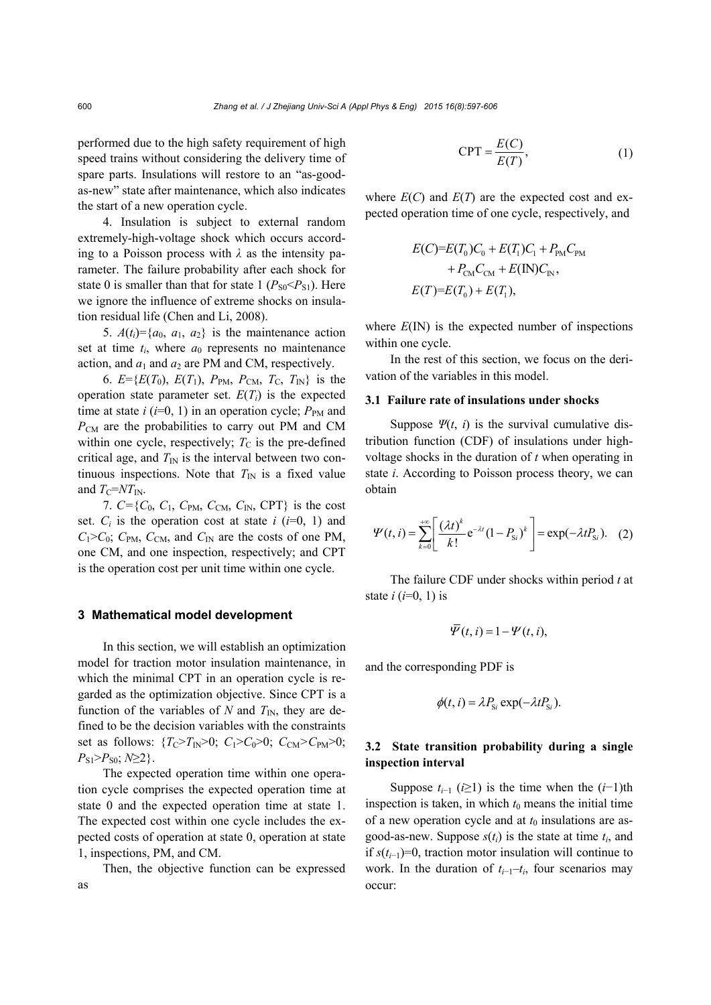performed due to the high safety requirement of high speed trains without considering the delivery time of spare parts. Insulations will restore to an "as-goodas-new" state after maintenance, which also indicates the start of a new operation cycle.

4. Insulation is subject to external random extremely-high-voltage shock which occurs according to a Poisson process with *λ* as the intensity parameter. The failure probability after each shock for state 0 is smaller than that for state 1  $(P_{S0} < P_{S1})$ . Here we ignore the influence of extreme shocks on insulation residual life (Chen and Li, 2008).

5.  $A(t_i) = \{a_0, a_1, a_2\}$  is the maintenance action set at time  $t_i$ , where  $a_0$  represents no maintenance action, and  $a_1$  and  $a_2$  are PM and CM, respectively.

6.  $E = \{E(T_0), E(T_1), P_{PM}, P_{CM}, T_C, T_N\}$  is the operation state parameter set.  $E(T_i)$  is the expected time at state  $i$  ( $i=0, 1$ ) in an operation cycle;  $P_{PM}$  and *P*CM are the probabilities to carry out PM and CM within one cycle, respectively;  $T<sub>C</sub>$  is the pre-defined critical age, and  $T_{\text{IN}}$  is the interval between two continuous inspections. Note that  $T_{\text{IN}}$  is a fixed value and  $T_{\rm C}$ = $NT_{\rm IN}$ .

7.  $C = \{C_0, C_1, C_{PM}, C_{CM}, C_N, CPT\}$  is the cost set.  $C_i$  is the operation cost at state  $i$  ( $i=0, 1$ ) and  $C_1 > C_0$ ;  $C_{PM}$ ,  $C_{CM}$ , and  $C_{IN}$  are the costs of one PM, one CM, and one inspection, respectively; and CPT is the operation cost per unit time within one cycle.

#### **3 Mathematical model development**

In this section, we will establish an optimization model for traction motor insulation maintenance, in which the minimal CPT in an operation cycle is regarded as the optimization objective. Since CPT is a function of the variables of  $N$  and  $T_{\text{IN}}$ , they are defined to be the decision variables with the constraints set as follows:  $\{T_{C} > T_{IN} > 0; C_1 > C_0 > 0; C_{CM} > C_{PM} > 0;$  $P_{S1} > P_{S0}$ ;  $N \geq 2$  }.

The expected operation time within one operation cycle comprises the expected operation time at state 0 and the expected operation time at state 1. The expected cost within one cycle includes the expected costs of operation at state 0, operation at state 1, inspections, PM, and CM.

Then, the objective function can be expressed as

$$
CPT = \frac{E(C)}{E(T)},
$$
 (1)

where  $E(C)$  and  $E(T)$  are the expected cost and expected operation time of one cycle, respectively, and

$$
E(C)=E(T_0)C_0 + E(T_1)C_1 + P_{PM}C_{PM}
$$
  
+  $P_{CM}C_{CM} + E(IN)C_{IN}$ ,  

$$
E(T)=E(T_0) + E(T_1),
$$

where  $E(\text{IN})$  is the expected number of inspections within one cycle.

In the rest of this section, we focus on the derivation of the variables in this model.

#### **3.1 Failure rate of insulations under shocks**

Suppose  $\Psi(t, i)$  is the survival cumulative distribution function (CDF) of insulations under highvoltage shocks in the duration of *t* when operating in state *i*. According to Poisson process theory, we can obtain

$$
\Psi(t,i) = \sum_{k=0}^{+\infty} \left[ \frac{(\lambda t)^k}{k!} e^{-\lambda t} (1 - P_{\rm S,i})^k \right] = \exp(-\lambda t P_{\rm S,i}). \quad (2)
$$

The failure CDF under shocks within period *t* at state  $i$  ( $i=0, 1$ ) is

$$
\overline{\varPsi}(t,i) = 1 - \varPsi(t,i),
$$

and the corresponding PDF is

$$
\phi(t, i) = \lambda P_{\rm Si} \exp(-\lambda t P_{\rm Si}).
$$

#### **3.2 State transition probability during a single inspection interval**

Suppose  $t_{i-1}$  ( $i \ge 1$ ) is the time when the  $(i-1)$ th inspection is taken, in which  $t_0$  means the initial time of a new operation cycle and at  $t_0$  insulations are asgood-as-new. Suppose  $s(t_i)$  is the state at time  $t_i$ , and if *s*(*ti*−1)=0, traction motor insulation will continue to work. In the duration of *ti*−1–*ti*, four scenarios may occur: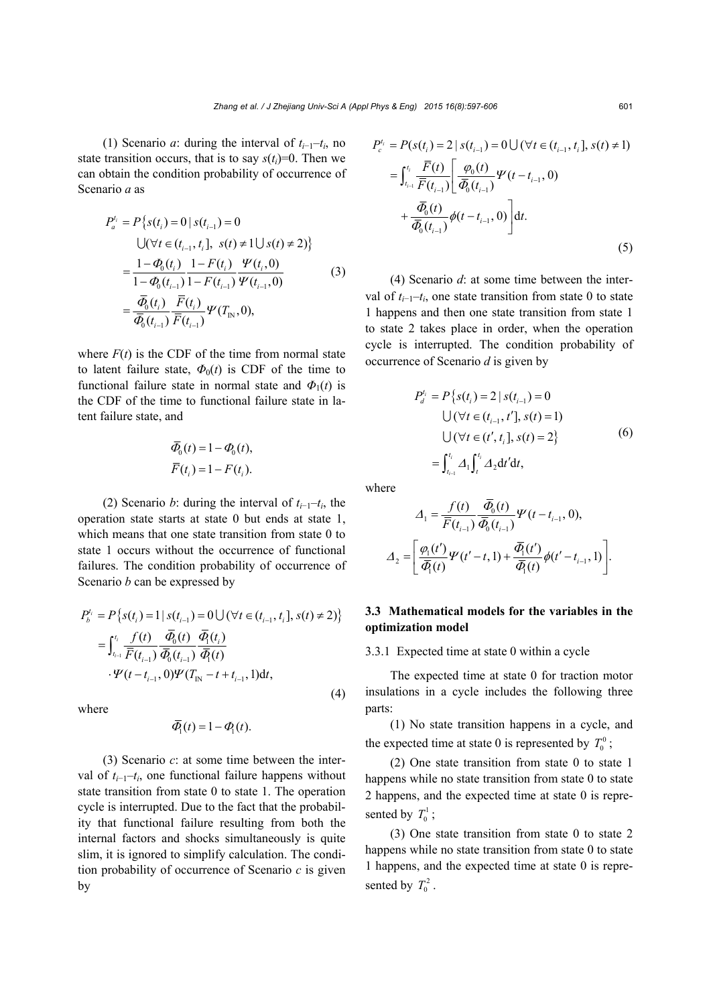(1) Scenario *a*: during the interval of  $t_{i-1}-t_i$ , no state transition occurs, that is to say  $s(t_i)=0$ . Then we can obtain the condition probability of occurrence of Scenario *a* as

$$
P_a^{t_i} = P\{s(t_i) = 0 | s(t_{i-1}) = 0
$$
  
\n
$$
\bigcup (\forall t \in (t_{i-1}, t_i], s(t) \neq 1 \cup s(t) \neq 2)\}
$$
  
\n
$$
= \frac{1 - \Phi_0(t_i)}{1 - \Phi_0(t_{i-1})} \frac{1 - F(t_i)}{1 - F(t_{i-1})} \frac{\Psi(t_i, 0)}{\Psi(t_{i-1}, 0)}
$$
  
\n
$$
= \frac{\overline{\Phi}_0(t_i)}{\overline{\Phi}_0(t_{i-1})} \frac{\overline{F}(t_i)}{\overline{F}(t_{i-1})} \Psi(T_{N}, 0),
$$
\n(3)

where  $F(t)$  is the CDF of the time from normal state to latent failure state,  $\Phi_0(t)$  is CDF of the time to functional failure state in normal state and  $\Phi_1(t)$  is the CDF of the time to functional failure state in latent failure state, and

$$
\overline{\Phi}_0(t) = 1 - \Phi_0(t),
$$
  

$$
\overline{F}(t_i) = 1 - F(t_i).
$$

(2) Scenario *b*: during the interval of  $t_{i-1}-t_i$ , the operation state starts at state 0 but ends at state 1, which means that one state transition from state 0 to state 1 occurs without the occurrence of functional failures. The condition probability of occurrence of Scenario *b* can be expressed by

$$
P_b^{t_i} = P\{s(t_i) = 1 | s(t_{i-1}) = 0 \cup (\forall t \in (t_{i-1}, t_i], s(t) \neq 2)\}
$$
  
= 
$$
\int_{t_{i-1}}^{t_i} \frac{f(t)}{\overline{F}(t_{i-1})} \frac{\overline{\Phi}_0(t)}{\overline{\Phi}_0(t_{i-1})} \frac{\overline{\Phi}_1(t_i)}{\overline{\Phi}_1(t)}
$$
  
 
$$
\cdot \Psi(t - t_{i-1}, 0) \Psi(T_{IN} - t + t_{i-1}, 1) dt,
$$

where

$$
\overline{\varPhi}_1(t) = 1 - \varPhi_1(t).
$$

(3) Scenario *c*: at some time between the interval of  $t_{i-1}-t_i$ , one functional failure happens without state transition from state 0 to state 1. The operation cycle is interrupted. Due to the fact that the probability that functional failure resulting from both the internal factors and shocks simultaneously is quite slim, it is ignored to simplify calculation. The condition probability of occurrence of Scenario *c* is given by

$$
P_c^{t_i} = P(s(t_i) = 2 | s(t_{i-1}) = 0 \cup (\forall t \in (t_{i-1}, t_i], s(t) \neq 1)
$$
  
\n
$$
= \int_{t_{i-1}}^{t_i} \frac{\overline{F}(t)}{\overline{F}(t_{i-1})} \left[ \frac{\varphi_0(t)}{\overline{\varphi}_0(t_{i-1})} \Psi(t - t_{i-1}, 0) + \frac{\overline{\varphi}_0(t)}{\overline{\varphi}_0(t_{i-1})} \phi(t - t_{i-1}, 0) \right] dt.
$$
  
\n(5)

(4) Scenario *d*: at some time between the interval of  $t_{i-1}$ – $t_i$ , one state transition from state 0 to state 1 happens and then one state transition from state 1 to state 2 takes place in order, when the operation cycle is interrupted. The condition probability of occurrence of Scenario *d* is given by

$$
P_d^{t_i} = P\{s(t_i) = 2 | s(t_{i-1}) = 0
$$
  
\n
$$
\bigcup (\forall t \in (t_{i-1}, t'], s(t) = 1)
$$
  
\n
$$
\bigcup (\forall t \in (t', t_i], s(t) = 2\}
$$
  
\n
$$
= \int_{t_{i-1}}^{t_i} \Delta_1 \int_t^{t_i} \Delta_2 dt' dt,
$$
\n(6)

where

(4)

$$
\Delta_{1} = \frac{f(t)}{\overline{F}(t_{i-1})} \frac{\overline{\Phi}_{0}(t)}{\overline{\Phi}_{0}(t_{i-1})} \Psi(t - t_{i-1}, 0),
$$
  

$$
\Delta_{2} = \left[ \frac{\varphi_{1}(t')}{\overline{\Phi}_{1}(t)} \Psi(t'-t, 1) + \frac{\overline{\Phi}_{1}(t')}{\overline{\Phi}_{1}(t)} \phi(t'-t_{i-1}, 1) \right].
$$

### **3.3 Mathematical models for the variables in the optimization model**

3.3.1 Expected time at state 0 within a cycle

The expected time at state 0 for traction motor insulations in a cycle includes the following three parts:

(1) No state transition happens in a cycle, and the expected time at state 0 is represented by  $T_0^0$ ;

(2) One state transition from state 0 to state 1 happens while no state transition from state 0 to state 2 happens, and the expected time at state 0 is represented by  $T_0^1$ ;

(3) One state transition from state 0 to state 2 happens while no state transition from state 0 to state 1 happens, and the expected time at state 0 is represented by  $T_0^2$ .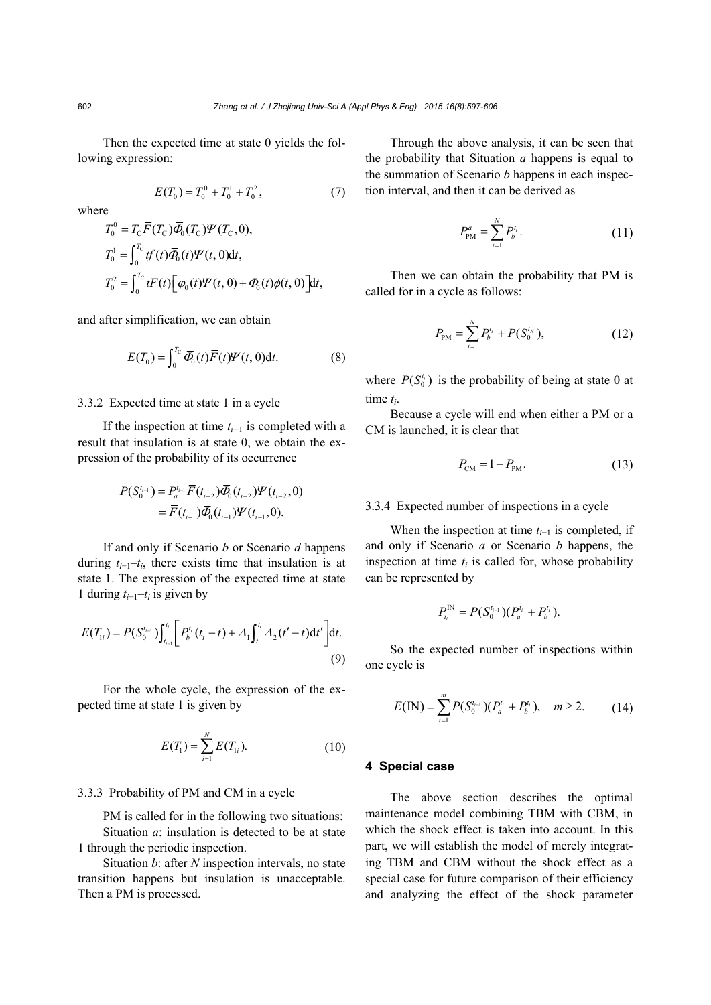Then the expected time at state 0 yields the following expression:

$$
E(T_0) = T_0^0 + T_0^1 + T_0^2, \tag{7}
$$

where

$$
T_0^0 = T_{\rm C} \overline{F}(T_{\rm C}) \overline{\Phi}_0(T_{\rm C}) \Psi(T_{\rm C}, 0),
$$
  
\n
$$
T_0^1 = \int_0^{T_{\rm C}} tf(t) \overline{\Phi}_0(t) \Psi(t, 0) \mathrm{d}t,
$$
  
\n
$$
T_0^2 = \int_0^{T_{\rm C}} t \overline{F}(t) \Big[ \varphi_0(t) \Psi(t, 0) + \overline{\Phi}_0(t) \phi(t, 0) \Big] \mathrm{d}t,
$$

and after simplification, we can obtain

$$
E(T_0) = \int_0^{T_{\rm C}} \overline{\Phi}_0(t) \overline{F}(t) \Psi(t,0) \mathrm{d}t. \tag{8}
$$

#### 3.3.2 Expected time at state 1 in a cycle

If the inspection at time *ti−*1 is completed with a result that insulation is at state 0, we obtain the expression of the probability of its occurrence

$$
P(S_0^{t_{i-1}}) = P_a^{t_{i-1}} \overline{F}(t_{i-2}) \overline{\Phi}_0(t_{i-2}) \Psi(t_{i-2}, 0)
$$
  
=  $\overline{F}(t_{i-1}) \overline{\Phi}_0(t_{i-1}) \Psi(t_{i-1}, 0).$ 

If and only if Scenario *b* or Scenario *d* happens during  $t_{i-1}-t_i$ , there exists time that insulation is at state 1. The expression of the expected time at state 1 during  $t_{i-1}-t_i$  is given by

$$
E(T_{1i}) = P(S_0^{t_{i-1}}) \int_{t_{i-1}}^{t_i} \left[ P_b^{t_i} (t_i - t) + \Delta_1 \int_t^{t_i} \Delta_2 (t' - t) dt' \right] dt.
$$
\n(9)

For the whole cycle, the expression of the expected time at state 1 is given by

$$
E(T_1) = \sum_{i=1}^{N} E(T_{1i}).
$$
\n(10)

#### 3.3.3 Probability of PM and CM in a cycle

PM is called for in the following two situations: Situation *a*: insulation is detected to be at state 1 through the periodic inspection.

Situation *b*: after *N* inspection intervals, no state transition happens but insulation is unacceptable. Then a PM is processed.

Through the above analysis, it can be seen that the probability that Situation *a* happens is equal to the summation of Scenario *b* happens in each inspection interval, and then it can be derived as

$$
P_{\rm PM}^a = \sum_{i=1}^N P_b^{t_i}.
$$
 (11)

Then we can obtain the probability that PM is called for in a cycle as follows:

$$
P_{\rm PM} = \sum_{i=1}^{N} P_b^{t_i} + P(S_0^{t_N}), \tag{12}
$$

where  $P(S_0^{t_i})$  is the probability of being at state 0 at time *ti*.

Because a cycle will end when either a PM or a CM is launched, it is clear that

$$
P_{\rm CM} = 1 - P_{\rm PM}.\tag{13}
$$

#### 3.3.4 Expected number of inspections in a cycle

When the inspection at time  $t_{i-1}$  is completed, if and only if Scenario *a* or Scenario *b* happens, the inspection at time  $t_i$  is called for, whose probability can be represented by

$$
P_{t_i}^{\text{IN}} = P(S_0^{t_{i-1}})(P_a^{t_i} + P_b^{t_i}).
$$

So the expected number of inspections within one cycle is

$$
E(\text{IN}) = \sum_{i=1}^{m} P(S_0^{t_{i-1}})(P_a^{t_i} + P_b^{t_i}), \quad m \ge 2. \tag{14}
$$

#### **4 Special case**

The above section describes the optimal maintenance model combining TBM with CBM, in which the shock effect is taken into account. In this part, we will establish the model of merely integrating TBM and CBM without the shock effect as a special case for future comparison of their efficiency and analyzing the effect of the shock parameter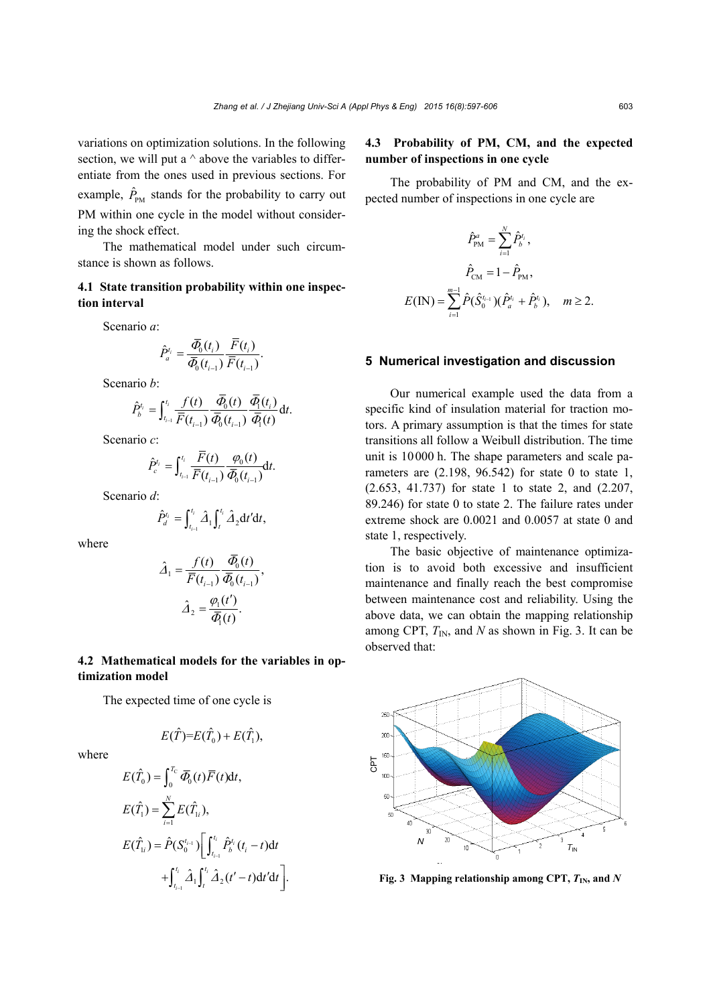variations on optimization solutions. In the following section, we will put a  $\land$  above the variables to differentiate from the ones used in previous sections. For example,  $\hat{P}_{PM}$  stands for the probability to carry out PM within one cycle in the model without considering the shock effect.

The mathematical model under such circumstance is shown as follows.

### **4.1 State transition probability within one inspection interval**

Scenario *a*:

$$
\hat{P}_a^{t_i} = \frac{\overline{\Phi}_0(t_i)}{\overline{\Phi}_0(t_{i-1})} \frac{\overline{F}(t_i)}{\overline{F}(t_{i-1})}.
$$

Scenario *b*:

$$
\hat{P}_{b}^{t_i} = \int_{t_{i-1}}^{t_i} \frac{f(t)}{\overline{F}(t_{i-1})} \frac{\overline{\tilde{\varPhi}_0}(t)}{\overline{\tilde{\varPhi}_0}(t_{i-1})} \frac{\overline{\tilde{\varPhi}}(t_i)}{\overline{\tilde{\varPhi}}_1(t)} dt.
$$

Scenario *c*:

$$
\hat{P}_c^{t_i} = \int_{t_{i-1}}^{t_i} \frac{\overline{F}(t)}{\overline{F}(t_{i-1})} \frac{\varphi_0(t)}{\overline{\varPhi}_0(t_{i-1})} dt.
$$

Scenario *d*:

$$
\hat{P}_d^{t_i} = \int_{t_{i-1}}^{t_i} \hat{A}_1 \int_t^{t_i} \hat{A}_2 dt' dt,
$$

where

$$
\hat{\Delta}_1 = \frac{f(t)}{\overline{F}(t_{i-1})} \frac{\overline{\Phi}_0(t)}{\overline{\Phi}_0(t_{i-1})},
$$

$$
\hat{\Delta}_2 = \frac{\varphi_1(t')}{\overline{\Phi}_1(t)}.
$$

### **4.2 Mathematical models for the variables in optimization model**

The expected time of one cycle is

$$
E(\hat{T})=E(\hat{T}_0)+E(\hat{T}_1),
$$

where

$$
E(\hat{T}_0) = \int_0^{T_C} \overline{\Phi}_0(t) \overline{F}(t) dt,
$$
  
\n
$$
E(\hat{T}_1) = \sum_{i=1}^N E(\hat{T}_{1i}),
$$
  
\n
$$
E(\hat{T}_{1i}) = \hat{P}(S_0^{t_{i-1}}) \Bigg[ \int_{t_{i-1}}^{t_i} \hat{P}_b^{t_i}(t_i - t) dt + \int_{t_{i-1}}^{t_i} \hat{A}_1 \int_t^{t_i} \hat{A}_2(t' - t) dt' dt \Bigg].
$$

## **4.3 Probability of PM, CM, and the expected number of inspections in one cycle**

The probability of PM and CM, and the expected number of inspections in one cycle are

$$
\hat{P}_{\text{PM}}^a = \sum_{i=1}^N \hat{P}_b^{t_i},
$$

$$
\hat{P}_{\text{CM}} = 1 - \hat{P}_{\text{PM}},
$$

$$
E(\text{IN}) = \sum_{i=1}^{m-1} \hat{P}(\hat{S}_0^{t_{i-1}})(\hat{P}_a^{t_i} + \hat{P}_b^{t_i}), \quad m \ge 2.
$$

#### **5 Numerical investigation and discussion**

Our numerical example used the data from a specific kind of insulation material for traction motors. A primary assumption is that the times for state transitions all follow a Weibull distribution. The time unit is 10000 h. The shape parameters and scale parameters are  $(2.198, 96.542)$  for state 0 to state 1, (2.653, 41.737) for state 1 to state 2, and (2.207, 89.246) for state 0 to state 2. The failure rates under extreme shock are 0.0021 and 0.0057 at state 0 and state 1, respectively.

The basic objective of maintenance optimization is to avoid both excessive and insufficient maintenance and finally reach the best compromise between maintenance cost and reliability. Using the above data, we can obtain the mapping relationship among CPT,  $T_{IN}$ , and N as shown in Fig. 3. It can be observed that:



**Fig. 3** Mapping relationship among CPT,  $T_{IN}$ , and  $N$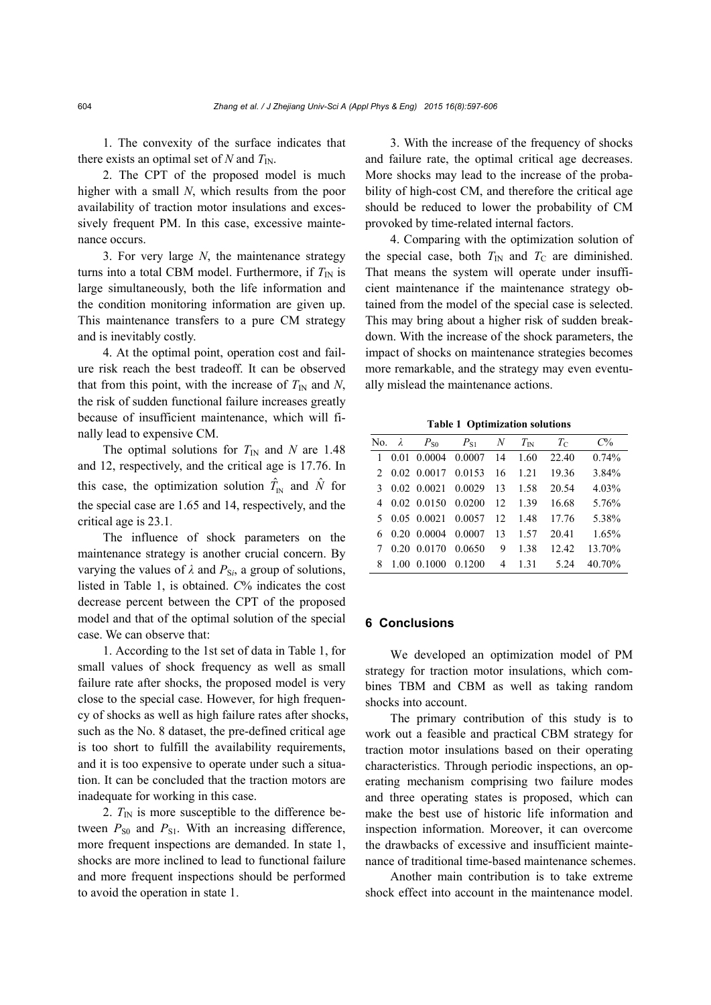1. The convexity of the surface indicates that there exists an optimal set of *N* and  $T_{\text{IN}}$ .

2. The CPT of the proposed model is much higher with a small *N*, which results from the poor availability of traction motor insulations and excessively frequent PM. In this case, excessive maintenance occurs.

3. For very large *N*, the maintenance strategy turns into a total CBM model. Furthermore, if  $T_{\text{IN}}$  is large simultaneously, both the life information and the condition monitoring information are given up. This maintenance transfers to a pure CM strategy and is inevitably costly.

4. At the optimal point, operation cost and failure risk reach the best tradeoff. It can be observed that from this point, with the increase of  $T_{\text{IN}}$  and *N*, the risk of sudden functional failure increases greatly because of insufficient maintenance, which will finally lead to expensive CM.

The optimal solutions for  $T_{\text{IN}}$  and *N* are 1.48 and 12, respectively, and the critical age is 17.76. In this case, the optimization solution  $\hat{T}_{N}$  and  $\hat{N}$  for the special case are 1.65 and 14, respectively, and the critical age is 23.1.

The influence of shock parameters on the maintenance strategy is another crucial concern. By varying the values of  $\lambda$  and  $P_{\text{Si}}$ , a group of solutions, listed in Table 1, is obtained. *C*% indicates the cost decrease percent between the CPT of the proposed model and that of the optimal solution of the special case. We can observe that:

1. According to the 1st set of data in Table 1, for small values of shock frequency as well as small failure rate after shocks, the proposed model is very close to the special case. However, for high frequency of shocks as well as high failure rates after shocks, such as the No. 8 dataset, the pre-defined critical age is too short to fulfill the availability requirements, and it is too expensive to operate under such a situation. It can be concluded that the traction motors are inadequate for working in this case.

2.  $T_{\text{IN}}$  is more susceptible to the difference between  $P_{S0}$  and  $P_{S1}$ . With an increasing difference, more frequent inspections are demanded. In state 1, shocks are more inclined to lead to functional failure and more frequent inspections should be performed to avoid the operation in state 1.

3. With the increase of the frequency of shocks and failure rate, the optimal critical age decreases. More shocks may lead to the increase of the probability of high-cost CM, and therefore the critical age should be reduced to lower the probability of CM provoked by time-related internal factors.

4. Comparing with the optimization solution of the special case, both  $T_{\text{IN}}$  and  $T_{\text{C}}$  are diminished. That means the system will operate under insufficient maintenance if the maintenance strategy obtained from the model of the special case is selected. This may bring about a higher risk of sudden breakdown. With the increase of the shock parameters, the impact of shocks on maintenance strategies becomes more remarkable, and the strategy may even eventually mislead the maintenance actions.

**Table 1 Optimization solutions**

|              | No. $\lambda$ | $P_{S0}$               | $P_{S1}$ N                  |    | $T_{\rm IN}$ | $T_{\rm C}$ | $C\%$  |
|--------------|---------------|------------------------|-----------------------------|----|--------------|-------------|--------|
| $\mathbf{1}$ |               |                        | $0.01$ $0.0004$ $0.0007$ 14 |    | 1.60         | 22.40       | 0.74%  |
|              |               |                        | 2 0.02 0.0017 0.0153 16     |    | 1.21         | 19.36       | 3.84%  |
|              |               |                        | 3 0.02 0.0021 0.0029 13     |    | 1.58         | 20.54       | 4.03%  |
|              |               |                        | 4 0.02 0.0150 0.0200 12     |    | 1.39         | 16.68       | 5.76%  |
|              |               |                        | 5 0.05 0.0021 0.0057 12     |    | 148          | 17.76       | 5.38%  |
|              |               | $6$ 0.20 0.0004 0.0007 |                             | 13 | 1.57         | 20.41       | 1.65%  |
|              |               | $0.20 \quad 0.0170$    | 0.0650                      | 9  | 138          | 12.42       | 13.70% |
| 8            |               | 1.00 0.1000 0.1200     |                             | 4  | 1.31         | 5.24        | 40.70% |

#### **6 Conclusions**

We developed an optimization model of PM strategy for traction motor insulations, which combines TBM and CBM as well as taking random shocks into account.

The primary contribution of this study is to work out a feasible and practical CBM strategy for traction motor insulations based on their operating characteristics. Through periodic inspections, an operating mechanism comprising two failure modes and three operating states is proposed, which can make the best use of historic life information and inspection information. Moreover, it can overcome the drawbacks of excessive and insufficient maintenance of traditional time-based maintenance schemes.

Another main contribution is to take extreme shock effect into account in the maintenance model.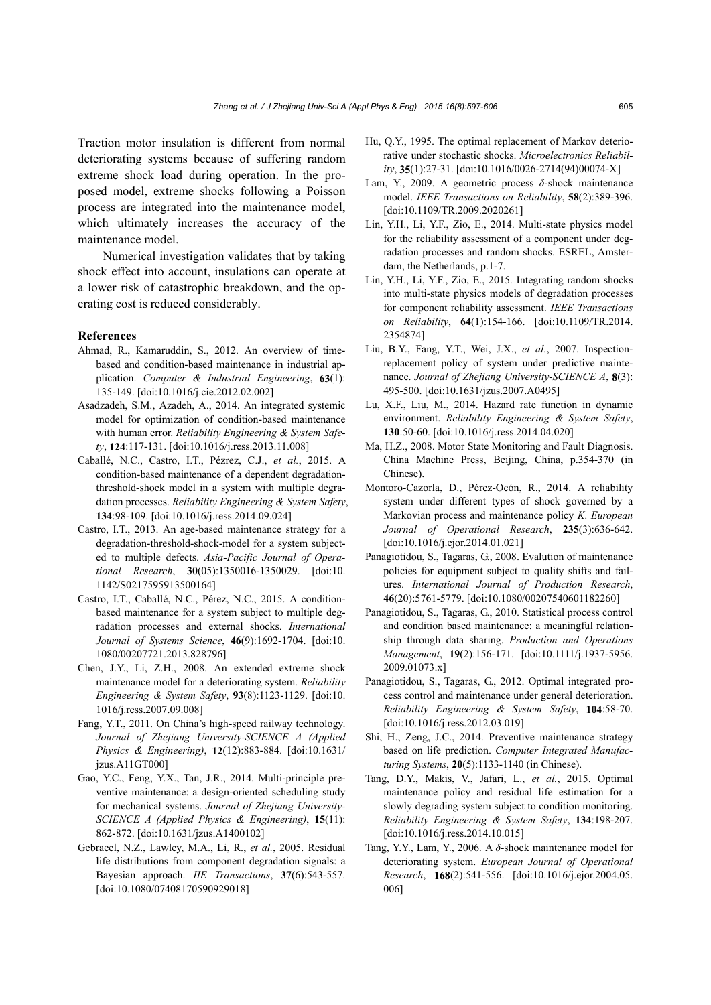Traction motor insulation is different from normal deteriorating systems because of suffering random extreme shock load during operation. In the proposed model, extreme shocks following a Poisson process are integrated into the maintenance model, which ultimately increases the accuracy of the maintenance model.

Numerical investigation validates that by taking shock effect into account, insulations can operate at a lower risk of catastrophic breakdown, and the operating cost is reduced considerably.

#### **References**

- Ahmad, R., Kamaruddin, S., 2012. An overview of timebased and condition-based maintenance in industrial application. *Computer & Industrial Engineering*, **63**(1): 135-149. [doi:10.1016/j.cie.2012.02.002]
- Asadzadeh, S.M., Azadeh, A., 2014. An integrated systemic model for optimization of condition-based maintenance with human error. *Reliability Engineering & System Safety*, **124**:117-131. [doi:10.1016/j.ress.2013.11.008]
- Caballé, N.C., Castro, I.T., Pézrez, C.J., *et al.*, 2015. A condition-based maintenance of a dependent degradationthreshold-shock model in a system with multiple degradation processes. *Reliability Engineering & System Safety*, **134**:98-109. [doi:10.1016/j.ress.2014.09.024]
- Castro, I.T., 2013. An age-based maintenance strategy for a degradation-threshold-shock-model for a system subjected to multiple defects. *Asia-Pacific Journal of Operational Research*, **30**(05):1350016-1350029. [doi:10. 1142/S0217595913500164]
- Castro, I.T., Caballé, N.C., Pérez, N.C., 2015. A conditionbased maintenance for a system subject to multiple degradation processes and external shocks. *International Journal of Systems Science*, **46**(9):1692-1704. [doi:10. 1080/00207721.2013.828796]
- Chen, J.Y., Li, Z.H., 2008. An extended extreme shock maintenance model for a deteriorating system. *Reliability Engineering & System Safety*, **93**(8):1123-1129. [doi:10. 1016/j.ress.2007.09.008]
- Fang, Y.T., 2011. On China's high-speed railway technology. *Journal of Zhejiang University-SCIENCE A (Applied Physics & Engineering)*, **12**(12):883-884. [doi:10.1631/ jzus.A11GT000]
- Gao, Y.C., Feng, Y.X., Tan, J.R., 2014. Multi-principle preventive maintenance: a design-oriented scheduling study for mechanical systems. *Journal of Zhejiang University-SCIENCE A (Applied Physics & Engineering)*, **15**(11): 862-872. [doi:10.1631/jzus.A1400102]
- Gebraeel, N.Z., Lawley, M.A., Li, R., *et al.*, 2005. Residual life distributions from component degradation signals: a Bayesian approach. *IIE Transactions*, **37**(6):543-557. [doi:10.1080/07408170590929018]
- Hu, Q.Y., 1995. The optimal replacement of Markov deteriorative under stochastic shocks. *Microelectronics Reliability*, **35**(1):27-31. [doi:10.1016/0026-2714(94)00074-X]
- Lam, Y., 2009. A geometric process *δ*-shock maintenance model. *IEEE Transactions on Reliability*, **58**(2):389-396. [doi:10.1109/TR.2009.2020261]
- Lin, Y.H., Li, Y.F., Zio, E., 2014. Multi-state physics model for the reliability assessment of a component under degradation processes and random shocks. ESREL, Amsterdam, the Netherlands, p.1-7.
- Lin, Y.H., Li, Y.F., Zio, E., 2015. Integrating random shocks into multi-state physics models of degradation processes for component reliability assessment. *IEEE Transactions on Reliability*, **64**(1):154-166. [doi:10.1109/TR.2014. 2354874]
- Liu, B.Y., Fang, Y.T., Wei, J.X., *et al.*, 2007. Inspectionreplacement policy of system under predictive maintenance. *Journal of Zhejiang University-SCIENCE A*, **8**(3): 495-500. [doi:10.1631/jzus.2007.A0495]
- Lu, X.F., Liu, M., 2014. Hazard rate function in dynamic environment. *Reliability Engineering & System Safety*, **130**:50-60. [doi:10.1016/j.ress.2014.04.020]
- Ma, H.Z., 2008. Motor State Monitoring and Fault Diagnosis. China Machine Press, Beijing, China, p.354-370 (in Chinese).
- Montoro-Cazorla, D., Pérez-Ocón, R., 2014. A reliability system under different types of shock governed by a Markovian process and maintenance policy *K*. *European Journal of Operational Research*, **235**(3):636-642. [doi:10.1016/j.ejor.2014.01.021]
- Panagiotidou, S., Tagaras, G., 2008. Evalution of maintenance policies for equipment subject to quality shifts and failures. *International Journal of Production Research*, **46**(20):5761-5779. [doi:10.1080/00207540601182260]
- Panagiotidou, S., Tagaras, G., 2010. Statistical process control and condition based maintenance: a meaningful relationship through data sharing. *Production and Operations Management*, **19**(2):156-171. [doi:10.1111/j.1937-5956. 2009.01073.x]
- Panagiotidou, S., Tagaras, G., 2012. Optimal integrated process control and maintenance under general deterioration. *Reliability Engineering & System Safety*, **104**:58-70. [doi:10.1016/j.ress.2012.03.019]
- Shi, H., Zeng, J.C., 2014. Preventive maintenance strategy based on life prediction. *Computer Integrated Manufacturing Systems*, **20**(5):1133-1140 (in Chinese).
- Tang, D.Y., Makis, V., Jafari, L., *et al.*, 2015. Optimal maintenance policy and residual life estimation for a slowly degrading system subject to condition monitoring. *Reliability Engineering & System Safety*, **134**:198-207. [doi:10.1016/j.ress.2014.10.015]
- Tang, Y.Y., Lam, Y., 2006. A *δ*-shock maintenance model for deteriorating system. *European Journal of Operational Research*, **168**(2):541-556. [doi:10.1016/j.ejor.2004.05. 006]